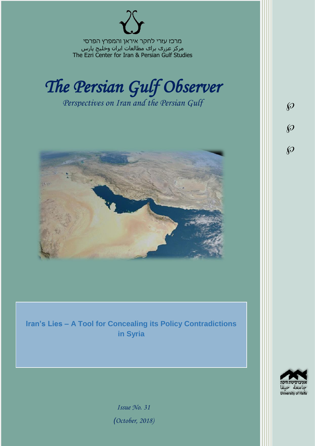מרכז עזרי לחקר איראן והמפרץ הפרסי مرکز عزری برای مطالعات ایران وخلیج پارس The Ezri Center for Iran & Persian Gulf Studies



*Perspectives on Iran and the Persian Gulf* 



**Iran's Lies – A Tool for Concealing its Policy Contradictions in Syria**



 $\wp$ 

 $\wp$ 

 $\wp$ 

*Issue No. 31 )October, 2018)*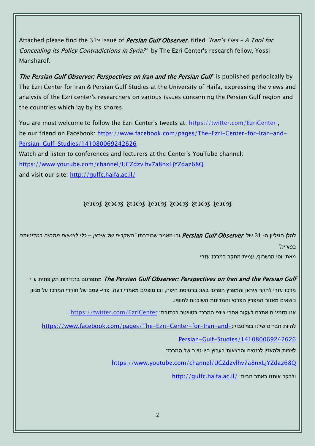Attached please find the 31<sup>st</sup> issue of *Persian Gulf Observer*, titled "Iran's Lies - A Tool for Concealing its Policy Contradictions in Syria?" by The Ezri Center's research fellow, Yossi Mansharof.

The Persian Gulf Observer: Perspectives on Iran and the Persian Gulf is published periodically by The Ezri Center for Iran & Persian Gulf Studies at the University of Haifa, expressing the views and analysis of the Ezri center's researchers on various issues concerning the Persian Gulf region and the countries which lay by its shores.

You are most welcome to follow the Ezri Center's tweets at: <https://twitter.com/EzriCenter> , be our friend on Facebook: [https://www.facebook.com/pages/The-Ezri-Center-for-Iran-and-](https://www.facebook.com/pages/The-Ezri-Center-for-Iran-and-Persian-Gulf-Studies/141080069242626)[Persian-Gulf-Studies/141080069242626](https://www.facebook.com/pages/The-Ezri-Center-for-Iran-and-Persian-Gulf-Studies/141080069242626)

Watch and listen to conferences and lecturers at the Center's YouTube channel: <https://www.youtube.com/channel/UCZdzvlhv7a8nxLjYZdaz68Q> and visit our site:<http://gulfc.haifa.ac.il/>

## DOS DOS DOS DOS DOS DOS DOS

להלן הגיליון ה- 31 של Observer Gulf Persian ובו מאמר שכותרתו *"השקרים של איראן – כלי לצמצום מתחים במדיניותה בסוריה"*

מאת יוסי מנשרוף, עמית מחקר במרכז עזרי.

יתפרסם בתדירות תקופתית ע"י The Persian Gulf Observer: Perspectives on Iran and the Persian Gulf מרכז עזרי לחקר איראן והמפרץ הפרסי באוניברסיטת חיפה, ובו מוצגים מאמרי דעה, פרי- עטם של חוקרי המרכז על מגוון נושאים מאזור המפרץ הפרסי והמדינות השוכנות לחופיו.

אנו מזמינים אתכם לעקוב אחרי ציוצי המרכז בטוויטר בכתובת: [EzriCenter/com.twitter://https](https://twitter.com/EzriCenter) ,

[https://www.facebook.com/pages/The-Ezri-Center-for-Iran-and-](https://www.facebook.com/pages/The-Ezri-Center-for-Iran-and-Persian-Gulf-Studies/141080069242626):כהיות חברים שלנו בפייסבוק

[Persian-Gulf-Studies/141080069242626](https://www.facebook.com/pages/The-Ezri-Center-for-Iran-and-Persian-Gulf-Studies/141080069242626)

לצפות ולהאזין לכנסים והרצאות בערוץ היו-טיוב של המרכז:

<https://www.youtube.com/channel/UCZdzvlhv7a8nxLjYZdaz68Q>

<http://gulfc.haifa.ac.il/> ולבקר אותנו באתר הבית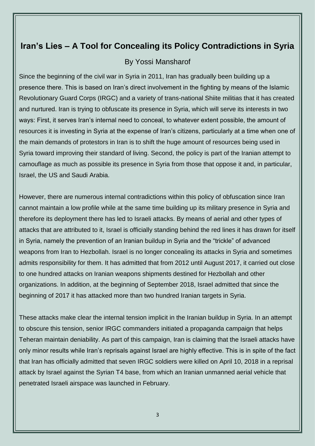# **Iran's Lies – A Tool for Concealing its Policy Contradictions in Syria**

#### By Yossi Mansharof

Since the beginning of the civil war in Syria in 2011, Iran has gradually been building up a presence there. This is based on Iran's direct involvement in the fighting by means of the Islamic Revolutionary Guard Corps (IRGC) and a variety of trans-national Shiite militias that it has created and nurtured. Iran is trying to obfuscate its presence in Syria, which will serve its interests in two ways: First, it serves Iran's internal need to conceal, to whatever extent possible, the amount of resources it is investing in Syria at the expense of Iran's citizens, particularly at a time when one of the main demands of protestors in Iran is to shift the huge amount of resources being used in Syria toward improving their standard of living. Second, the policy is part of the Iranian attempt to camouflage as much as possible its presence in Syria from those that oppose it and, in particular, Israel, the US and Saudi Arabia.

However, there are numerous internal contradictions within this policy of obfuscation since Iran cannot maintain a low profile while at the same time building up its military presence in Syria and therefore its deployment there has led to Israeli attacks. By means of aerial and other types of attacks that are attributed to it, Israel is officially standing behind the red lines it has drawn for itself in Syria, namely the prevention of an Iranian buildup in Syria and the "trickle" of advanced weapons from Iran to Hezbollah. Israel is no longer concealing its attacks in Syria and sometimes admits responsibility for them. It has admitted that from 2012 until August 2017, it carried out close to one hundred attacks on Iranian weapons shipments destined for Hezbollah and other organizations. In addition, at the beginning of September 2018, Israel admitted that since the beginning of 2017 it has attacked more than two hundred Iranian targets in Syria.

These attacks make clear the internal tension implicit in the Iranian buildup in Syria. In an attempt to obscure this tension, senior IRGC commanders initiated a propaganda campaign that helps Teheran maintain deniability. As part of this campaign, Iran is claiming that the Israeli attacks have only minor results while Iran's reprisals against Israel are highly effective. This is in spite of the fact that Iran has officially admitted that seven IRGC soldiers were killed on April 10, 2018 in a reprisal attack by Israel against the Syrian T4 base, from which an Iranian unmanned aerial vehicle that penetrated Israeli airspace was launched in February.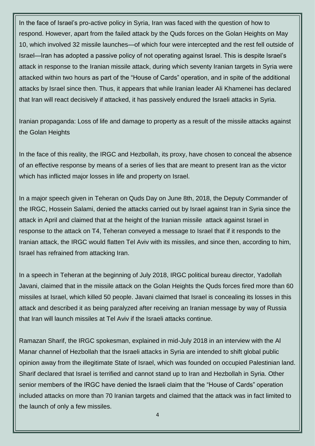In the face of Israel's pro-active policy in Syria, Iran was faced with the question of how to respond. However, apart from the failed attack by the Quds forces on the Golan Heights on May 10, which involved 32 missile launches—of which four were intercepted and the rest fell outside of Israel—Iran has adopted a passive policy of not operating against Israel. This is despite Israel's attack in response to the Iranian missile attack, during which seventy Iranian targets in Syria were attacked within two hours as part of the "House of Cards" operation, and in spite of the additional attacks by Israel since then. Thus, it appears that while Iranian leader Ali Khamenei has declared that Iran will react decisively if attacked, it has passively endured the Israeli attacks in Syria.

Iranian propaganda: Loss of life and damage to property as a result of the missile attacks against the Golan Heights

In the face of this reality, the IRGC and Hezbollah, its proxy, have chosen to conceal the absence of an effective response by means of a series of lies that are meant to present Iran as the victor which has inflicted major losses in life and property on Israel.

In a major speech given in Teheran on Quds Day on June 8th, 2018, the Deputy Commander of the IRGC, Hossein Salami, denied the attacks carried out by Israel against Iran in Syria since the attack in April and claimed that at the height of the Iranian missile attack against Israel in response to the attack on T4, Teheran conveyed a message to Israel that if it responds to the Iranian attack, the IRGC would flatten Tel Aviv with its missiles, and since then, according to him, Israel has refrained from attacking Iran.

In a speech in Teheran at the beginning of July 2018, IRGC political bureau director, Yadollah Javani, claimed that in the missile attack on the Golan Heights the Quds forces fired more than 60 missiles at Israel, which killed 50 people. Javani claimed that Israel is concealing its losses in this attack and described it as being paralyzed after receiving an Iranian message by way of Russia that Iran will launch missiles at Tel Aviv if the Israeli attacks continue.

Ramazan Sharif, the IRGC spokesman, explained in mid-July 2018 in an interview with the Al Manar channel of Hezbollah that the Israeli attacks in Syria are intended to shift global public opinion away from the illegitimate State of Israel, which was founded on occupied Palestinian land. Sharif declared that Israel is terrified and cannot stand up to Iran and Hezbollah in Syria. Other senior members of the IRGC have denied the Israeli claim that the "House of Cards" operation included attacks on more than 70 Iranian targets and claimed that the attack was in fact limited to the launch of only a few missiles.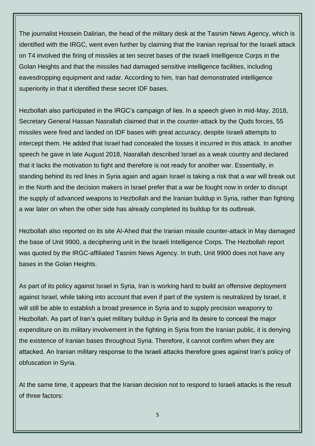The journalist Hossein Dalirian, the head of the military desk at the Tasnim News Agency, which is identified with the IRGC, went even further by claiming that the Iranian reprisal for the Israeli attack on T4 involved the firing of missiles at ten secret bases of the Israeli Intelligence Corps in the Golan Heights and that the missiles had damaged sensitive intelligence facilities, including eavesdropping equipment and radar. According to him, Iran had demonstrated intelligence superiority in that it identified these secret IDF bases.

Hezbollah also participated in the IRGC's campaign of lies. In a speech given in mid-May, 2018, Secretary General Hassan Nasrallah claimed that in the counter-attack by the Quds forces, 55 missiles were fired and landed on IDF bases with great accuracy, despite Israeli attempts to intercept them. He added that Israel had concealed the losses it incurred in this attack. In another speech he gave in late August 2018, Nasrallah described Israel as a weak country and declared that it lacks the motivation to fight and therefore is not ready for another war. Essentially, in standing behind its red lines in Syria again and again Israel is taking a risk that a war will break out in the North and the decision makers in Israel prefer that a war be fought now in order to disrupt the supply of advanced weapons to Hezbollah and the Iranian buildup in Syria, rather than fighting a war later on when the other side has already completed its buildup for its outbreak.

Hezbollah also reported on its site Al-Ahed that the Iranian missile counter-attack in May damaged the base of Unit 9900, a deciphering unit in the Israeli Intelligence Corps. The Hezbollah report was quoted by the IRGC-affiliated Tasnim News Agency. In truth, Unit 9900 does not have any bases in the Golan Heights.

As part of its policy against Israel in Syria, Iran is working hard to build an offensive deployment against Israel, while taking into account that even if part of the system is neutralized by Israel, it will still be able to establish a broad presence in Syria and to supply precision weaponry to Hezbollah. As part of Iran's quiet military buildup in Syria and its desire to conceal the major expenditure on its military involvement in the fighting in Syria from the Iranian public, it is denying the existence of Iranian bases throughout Syria. Therefore, it cannot confirm when they are attacked. An Iranian military response to the Israeli attacks therefore goes against Iran's policy of obfuscation in Syria.

At the same time, it appears that the Iranian decision not to respond to Israeli attacks is the result of three factors: